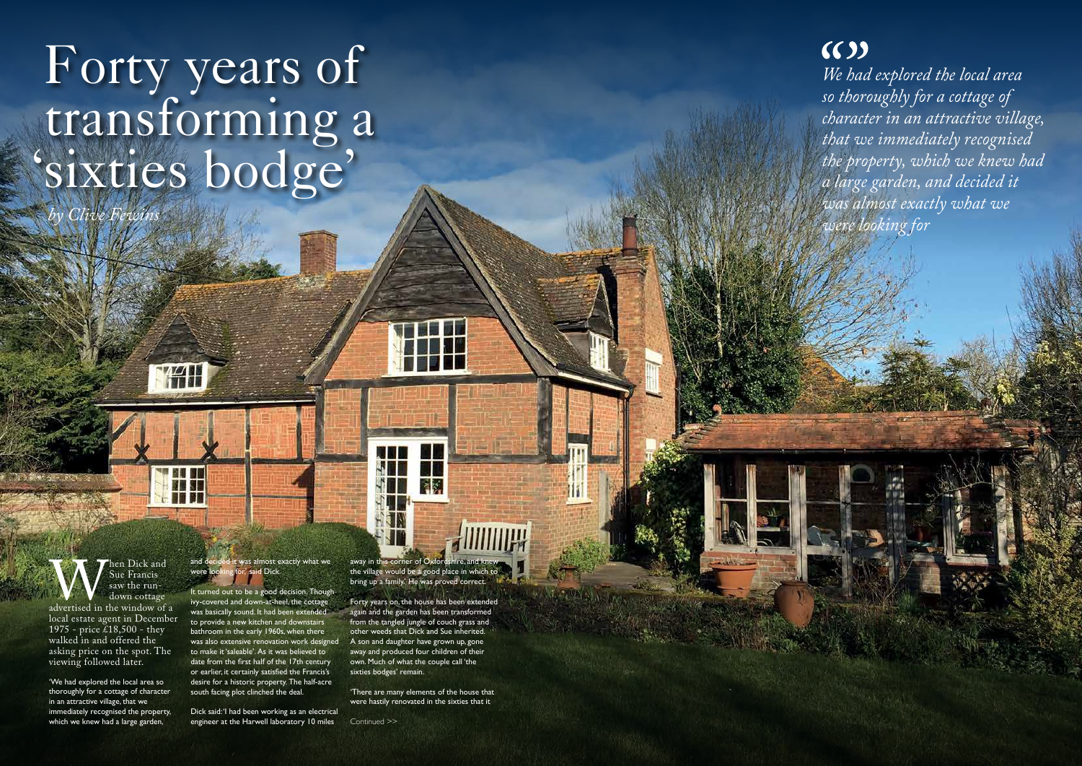# Forty years of transforming a 'sixties bodge'

WAN

*by Clive Fewins*

When Dick and<br>
Sue Francis<br>
saw the run-<br>
down cottage<br>
local estate agent in December Sue Francis saw the rundown cottage advertised in the window of a

1975 - price £18,500 - they walked in and offered the asking price on the spot. The viewing followed later.

'We had explored the local area so thoroughly for a cottage of character in an attractive village, that we immediately recognised the property, which we knew had a large garden,

it was almost exactly what we ' said Dick.

*We had explored the local area so thoroughly for a cottage of character in an attractive village, that we immediately recognised the property, which we knew had a large garden, and decided it was almost exactly what we were looking for*

Dick said: 'I had been working as an electrical engineer at the Harwell laboratory 10 miles Continued >>

It turned out to be a good decision. Though ivy-covered and down-at-heel, the cottage was basically sound. It had been extended to provide a new kitchen and downstairs bathroom in the early 1960s, when there was also extensive renovation work designed to make it 'saleable'. As it was believed to date from the first half of the 17th century or earlier, it certainly satisfied the Francis's desire for a historic property. The half-acre south facing plot clinched the deal.

away in this corner of Oxfordshire, and knew the village would be a good place in which to bring up a family.' He was proved correct.

Forty years on, the house has been extended again and the garden has been transformed from the tangled jungle of couch grass and other weeds that Dick and Sue inherited. A son and daughter have grown up, gone away and produced four children of their own. Much of what the couple call 'the sixties bodges' remain.

'There are many elements of the house that were hastily renovated in the sixties that it

## $(6)$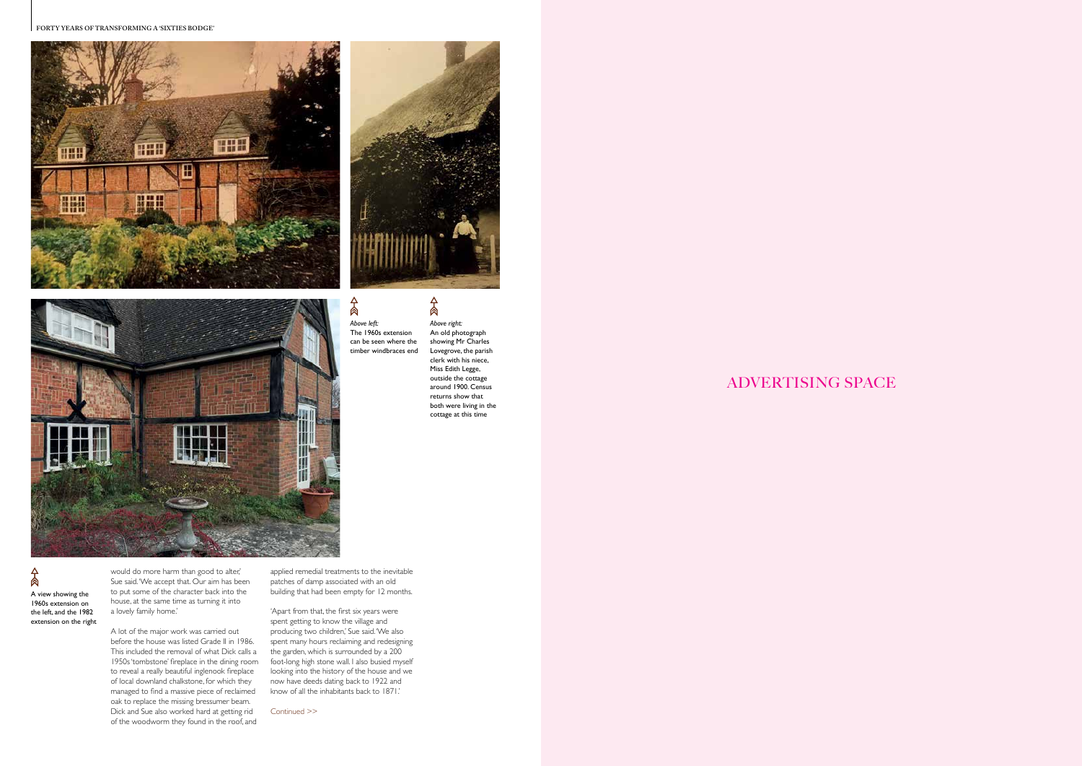**FORTY YEARS OF TRANSFORMING A 'SIXTIES BODGE'**







 $A$ 

## ADVERTISING SPACE

 $A$ *Above left:* The 1960s extension can be seen where the timber windbraces end

would do more harm than good to alter,' Sue said. 'We accept that. Our aim has been to put some of the character back into the house, at the same time as turning it into a lovely family home.'

A lot of the major work was carried out before the house was listed Grade II in 1986. This included the removal of what Dick calls a 1950s 'tombstone' fireplace in the dining room to reveal a really beautiful inglenook fireplace of local downland chalkstone, for which they managed to find a massive piece of reclaimed oak to replace the missing bressumer beam. Dick and Sue also worked hard at getting rid of the woodworm they found in the roof, and

Continued >>

 $A$ A view showing the 1960s extension on the left, and the 1982 extension on the right

applied remedial treatments to the inevitable patches of damp associated with an old building that had been empty for 12 months.

'Apart from that, the first six years were spent getting to know the village and producing two children,' Sue said. 'We also spent many hours reclaiming and redesigning the garden, which is surrounded by a 200 foot-long high stone wall. I also busied myself looking into the history of the house and we now have deeds dating back to 1922 and know of all the inhabitants back to 1871.'

*Above right:* An old photograph showing Mr Charles Lovegrove, the parish clerk with his niece, Miss Edith Legge, outside the cottage around 1900. Census returns show that both were living in the cottage at this time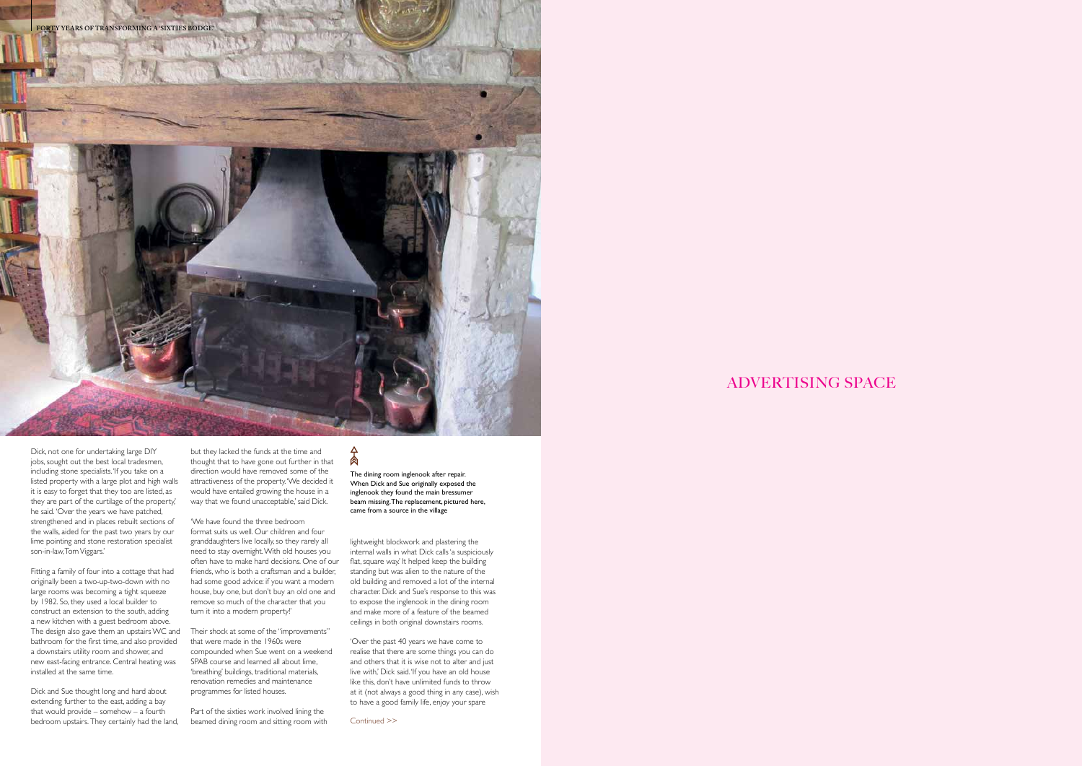

### ADVERTISING SPACE

Dick, not one for undertaking large DIY jobs, sought out the best local tradesmen, including stone specialists. 'If you take on a listed property with a large plot and high walls it is easy to forget that they too are listed, as they are part of the curtilage of the property,' he said. 'Over the years we have patched, strengthened and in places rebuilt sections of the walls, aided for the past two years by our lime pointing and stone restoration specialist son-in-law, Tom Viggars.'

but they lacked the funds at the time and thought that to have gone out further in that direction would have removed some of the attractiveness of the property. 'We decided it would have entailed growing the house in a way that we found unacceptable,' said Dick.

Fitting a family of four into a cottage that had originally been a two-up-two-down with no large rooms was becoming a tight squeeze by 1982. So, they used a local builder to construct an extension to the south, adding a new kitchen with a guest bedroom above. The design also gave them an upstairs WC and bathroom for the first time, and also provided a downstairs utility room and shower, and new east-facing entrance. Central heating was installed at the same time.

> Part of the sixties work involved lining the beamed dining room and sitting room with Continued >>

肏

Dick and Sue thought long and hard about extending further to the east, adding a bay that would provide – somehow – a fourth bedroom upstairs. They certainly had the land,

'We have found the three bedroom format suits us well. Our children and four granddaughters live locally, so they rarely all need to stay overnight. With old houses you often have to make hard decisions. One of our friends, who is both a craftsman and a builder, had some good advice: if you want a modern house, buy one, but don't buy an old one and remove so much of the character that you turn it into a modern property!'

Their shock at some of the "improvements" that were made in the 1960s were compounded when Sue went on a weekend SPAB course and learned all about lime, 'breathing' buildings, traditional materials, renovation remedies and maintenance programmes for listed houses.

The dining room inglenook after repair. When Dick and Sue originally exposed the inglenook they found the main bressumer beam missing. The replacement, pictured here, came from a source in the village

lightweight blockwork and plastering the internal walls in what Dick calls 'a suspiciously flat, square way.' It helped keep the building standing but was alien to the nature of the old building and removed a lot of the internal character. Dick and Sue's response to this was to expose the inglenook in the dining room and make more of a feature of the beamed ceilings in both original downstairs rooms.

'Over the past 40 years we have come to realise that there are some things you can do and others that it is wise not to alter and just live with,' Dick said. 'If you have an old house like this, don't have unlimited funds to throw at it (not always a good thing in any case), wish to have a good family life, enjoy your spare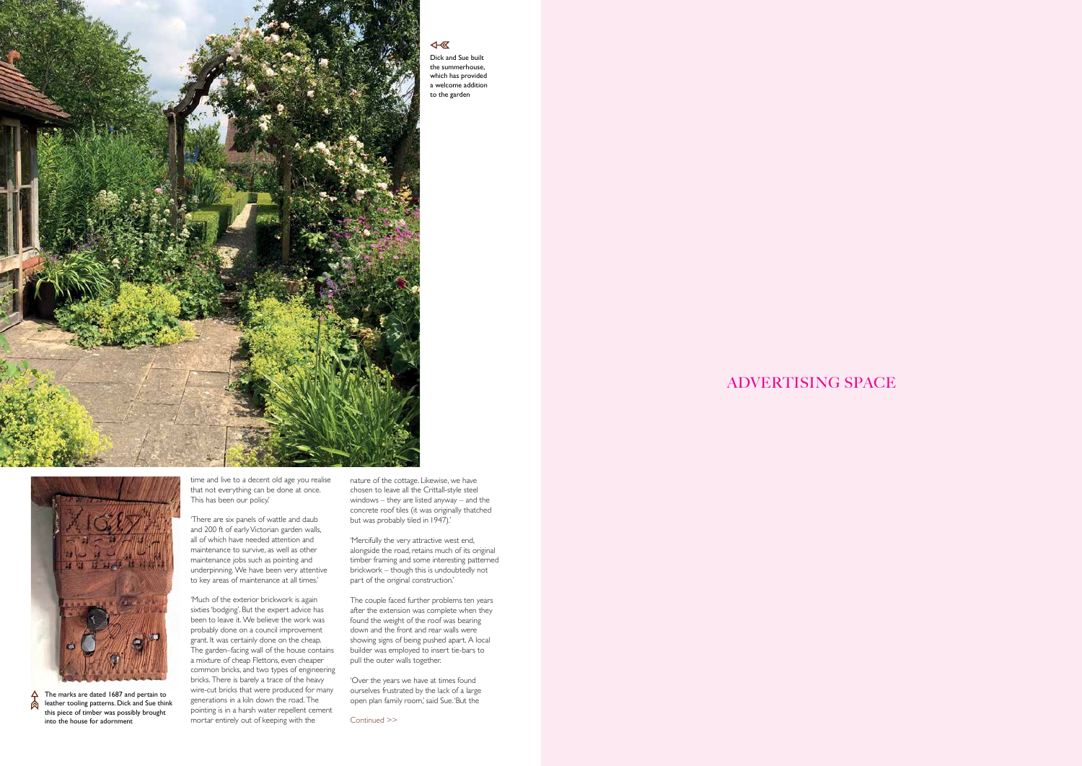

### $\overline{\mathbb{R}}$

ADVERTISING SPACE

time and live to a decent old age you realise that not everything can be done at once. This has been our policy.'

'Much of the exterior brickwork is again sixties 'bodging'. But the expert advice has been to leave it. We believe the work was probably done on a council improvement grant. It was certainly done on the cheap. The garden–facing wall of the house contains a mixture of cheap Flettons, even cheaper common bricks, and two types of engineering bricks. There is barely a trace of the heavy wire-cut bricks that were produced for many generations in a kiln down the road. The pointing is in a harsh water repellent cement into the house for adornment **continued**  $\geq$   $\geq$ 

'There are six panels of wattle and daub and 200 ft of early Victorian garden walls, all of which have needed attention and maintenance to survive, as well as other maintenance jobs such as pointing and underpinning. We have been very attentive to key areas of maintenance at all times.'

Dick and Sue built the summerhouse, which has provided a welcome addition to the garden

The marks are dated 1687 and pertain to  $\overline{A}$ **A** leather tooling patterns. Dick and Sue think this piece of timber was possibly brought

nature of the cottage. Likewise, we have chosen to leave all the Crittall-style steel windows – they are listed anyway – and the concrete roof tiles (it was originally thatched but was probably tiled in 1947).'

'Mercifully the very attractive west end, alongside the road, retains much of its original timber framing and some interesting patterned brickwork – though this is undoubtedly not part of the original construction.'

The couple faced further problems ten years after the extension was complete when they found the weight of the roof was bearing down and the front and rear walls were showing signs of being pushed apart. A local builder was employed to insert tie-bars to pull the outer walls together.

'Over the years we have at times found ourselves frustrated by the lack of a large open plan family room,' said Sue. 'But the